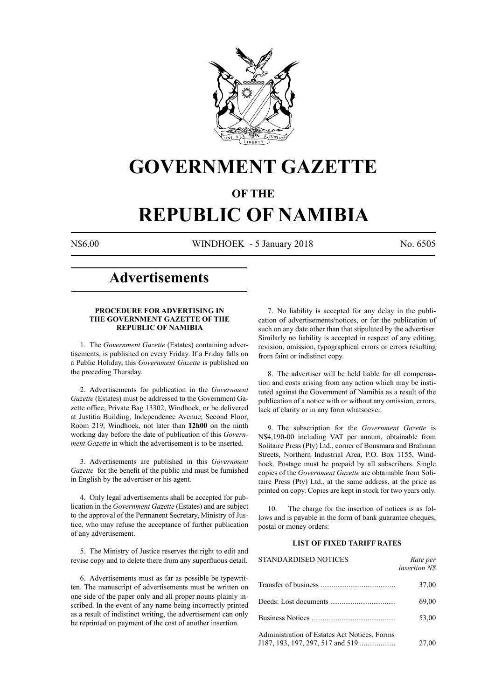

## **GOVERNMENT GAZETTE**

### **OF THE**

# **REPUBLIC OF NAMIBIA**

N\$6.00 WINDHOEK - 5 January 2018 No. 6505

## **Advertisements**

#### **PROCEDURE FOR ADVERTISING IN THE GOVERNMENT GAZETTE OF THE REPUBLIC OF NAMIBIA**

1. The *Government Gazette* (Estates) containing advertisements, is published on every Friday. If a Friday falls on a Public Holiday, this *Government Gazette* is published on the preceding Thursday.

2. Advertisements for publication in the *Government Gazette* (Estates) must be addressed to the Government Gazette office, Private Bag 13302, Windhoek, or be delivered at Justitia Building, Independence Avenue, Second Floor, Room 219, Windhoek, not later than **12h00** on the ninth working day before the date of publication of this *Government Gazette* in which the advertisement is to be inserted.

3. Advertisements are published in this *Government Gazette* for the benefit of the public and must be furnished in English by the advertiser or his agent.

4. Only legal advertisements shall be accepted for publication in the *Government Gazette* (Estates) and are subject to the approval of the Permanent Secretary, Ministry of Justice, who may refuse the acceptance of further publication of any advertisement.

5. The Ministry of Justice reserves the right to edit and revise copy and to delete there from any superfluous detail.

6. Advertisements must as far as possible be typewritten. The manuscript of advertisements must be written on one side of the paper only and all proper nouns plainly inscribed. In the event of any name being incorrectly printed as a result of indistinct writing, the advertisement can only be reprinted on payment of the cost of another insertion.

7. No liability is accepted for any delay in the publication of advertisements/notices, or for the publication of such on any date other than that stipulated by the advertiser. Similarly no liability is accepted in respect of any editing, revision, omission, typographical errors or errors resulting from faint or indistinct copy.

8. The advertiser will be held liable for all compensation and costs arising from any action which may be instituted against the Government of Namibia as a result of the publication of a notice with or without any omission, errors, lack of clarity or in any form whatsoever.

9. The subscription for the *Government Gazette* is N\$4,190-00 including VAT per annum, obtainable from Solitaire Press (Pty) Ltd., corner of Bonsmara and Brahman Streets, Northern Industrial Area, P.O. Box 1155, Windhoek. Postage must be prepaid by all subscribers. Single copies of the *Government Gazette* are obtainable from Solitaire Press (Pty) Ltd., at the same address, at the price as printed on copy. Copies are kept in stock for two years only.

10. The charge for the insertion of notices is as follows and is payable in the form of bank guarantee cheques, postal or money orders:

#### **LIST OF FIXED TARIFF RATES**

| <b>STANDARDISED NOTICES</b>                  | Rate per<br><i>insertion NS</i> |
|----------------------------------------------|---------------------------------|
|                                              | 37,00                           |
|                                              | 69,00                           |
|                                              | 53,00                           |
| Administration of Estates Act Notices, Forms | 27,00                           |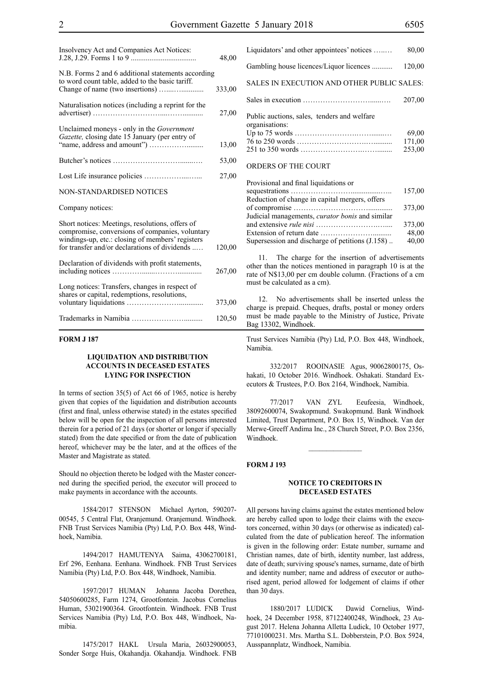| Insolvency Act and Companies Act Notices:                                                                                                                                                               | 48,00  |
|---------------------------------------------------------------------------------------------------------------------------------------------------------------------------------------------------------|--------|
| N.B. Forms 2 and 6 additional statements according<br>to word count table, added to the basic tariff.                                                                                                   | 333,00 |
| Naturalisation notices (including a reprint for the                                                                                                                                                     | 27,00  |
| Unclaimed moneys - only in the Government<br>Gazette, closing date 15 January (per entry of                                                                                                             | 13,00  |
|                                                                                                                                                                                                         | 53,00  |
|                                                                                                                                                                                                         | 27,00  |
| NON-STANDARDISED NOTICES                                                                                                                                                                                |        |
| Company notices:                                                                                                                                                                                        |        |
| Short notices: Meetings, resolutions, offers of<br>compromise, conversions of companies, voluntary<br>windings-up, etc.: closing of members' registers<br>for transfer and/or declarations of dividends | 120,00 |
| Declaration of dividends with profit statements,                                                                                                                                                        | 267,00 |
| Long notices: Transfers, changes in respect of<br>shares or capital, redemptions, resolutions,                                                                                                          | 373,00 |
|                                                                                                                                                                                                         | 120,50 |

#### **FORM J 187**

#### **LIQUIDATION AND DISTRIBUTION ACCOUNTS IN DECEASED ESTATES LYING FOR INSPECTION**

In terms of section 35(5) of Act 66 of 1965, notice is hereby given that copies of the liquidation and distribution accounts (first and final, unless otherwise stated) in the estates specified below will be open for the inspection of all persons interested therein for a period of 21 days (or shorter or longer if specially stated) from the date specified or from the date of publication hereof, whichever may be the later, and at the offices of the Master and Magistrate as stated.

Should no objection thereto be lodged with the Master concerned during the specified period, the executor will proceed to make payments in accordance with the accounts.

1584/2017 STENSON Michael Ayrton, 590207- 00545, 5 Central Flat, Oranjemund. Oranjemund. Windhoek. FNB Trust Services Namibia (Pty) Ltd, P.O. Box 448, Windhoek, Namibia.

1494/2017 HAMUTENYA Saima, 43062700181, Erf 296, Eenhana. Eenhana. Windhoek. FNB Trust Services Namibia (Pty) Ltd, P.O. Box 448, Windhoek, Namibia.

1597/2017 HUMAN Johanna Jacoba Dorethea, 54050600285, Farm 1274, Grootfontein. Jacobus Cornelius Human, 53021900364. Grootfontein. Windhoek. FNB Trust Services Namibia (Pty) Ltd, P.O. Box 448, Windhoek, Namibia.

1475/2017 HAKL Ursula Maria, 26032900053, Sonder Sorge Huis, Okahandja. Okahandja. Windhoek. FNB

| Liquidators' and other appointees' notices                    | 80,00                     |
|---------------------------------------------------------------|---------------------------|
| Gambling house licences/Liquor licences                       | 120,00                    |
| SALES IN EXECUTION AND OTHER PUBLIC SALES:                    |                           |
|                                                               | 207,00                    |
| Public auctions, sales, tenders and welfare<br>organisations: | 69,00<br>171,00<br>253,00 |
| ORDERS OF THE COURT                                           |                           |

| Provisional and final liquidations or                  |        |
|--------------------------------------------------------|--------|
|                                                        | 157,00 |
| Reduction of change in capital mergers, offers         |        |
|                                                        | 373,00 |
| Judicial managements, <i>curator bonis</i> and similar |        |
|                                                        | 373,00 |
|                                                        | 48,00  |
| Supersession and discharge of petitions (J.158)        | 40,00  |
|                                                        |        |

11. The charge for the insertion of advertisements other than the notices mentioned in paragraph 10 is at the rate of N\$13,00 per cm double column. (Fractions of a cm must be calculated as a cm).

12. No advertisements shall be inserted unless the charge is prepaid. Cheques, drafts, postal or money orders must be made payable to the Ministry of Justice, Private Bag 13302, Windhoek.

Trust Services Namibia (Pty) Ltd, P.O. Box 448, Windhoek, Namibia.

332/2017 ROOINASIE Agus, 90062800175, Oshakati, 10 October 2016. Windhoek. Oshakati. Standard Executors & Trustees, P.O. Box 2164, Windhoek, Namibia.

77/2017 VAN ZYL Eeufeesia, Windhoek, 38092600074, Swakopmund. Swakopmund. Bank Windhoek Limited, Trust Department, P.O. Box 15, Windhoek. Van der Merwe-Greeff Andima Inc., 28 Church Street, P.O. Box 2356, Windhoek.

 $\mathcal{L}_\text{max}$ 

#### **FORM J 193**

#### **NOTICE TO CREDITORS IN DECEASED ESTATES**

All persons having claims against the estates mentioned below are hereby called upon to lodge their claims with the executors concerned, within 30 days (or otherwise as indicated) calculated from the date of publication hereof. The information is given in the following order: Estate number, surname and Christian names, date of birth, identity number, last address, date of death; surviving spouse's names, surname, date of birth and identity number; name and address of executor or authorised agent, period allowed for lodgement of claims if other than 30 days.

1880/2017 LUDICK Dawid Cornelius, Windhoek, 24 December 1958, 87122400248, Windhoek, 23 August 2017. Helena Johanna Alletta Ludick, 10 October 1977, 77101000231. Mrs. Martha S.L. Dobberstein, P.O. Box 5924, Ausspannplatz, Windhoek, Namibia.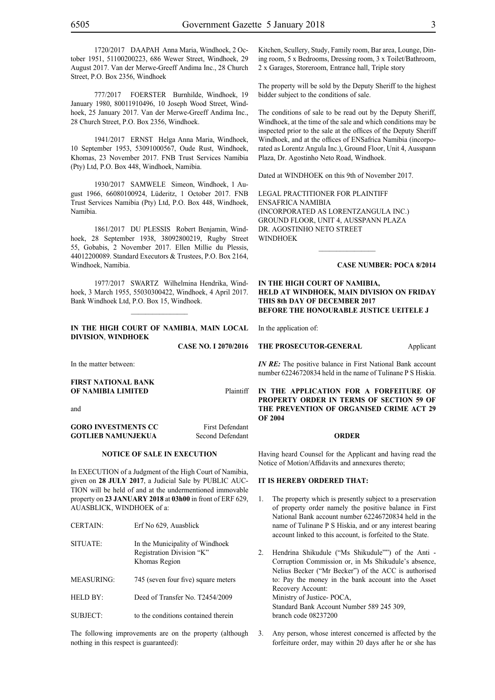1720/2017 DAAPAH Anna Maria, Windhoek, 2 October 1951, 51100200223, 686 Wewer Street, Windhoek, 29 August 2017. Van der Merwe-Greeff Andima Inc., 28 Church Street, P.O. Box 2356, Windhoek

777/2017 FOERSTER Burnhilde, Windhoek, 19 January 1980, 80011910496, 10 Joseph Wood Street, Windhoek, 25 January 2017. Van der Merwe-Greeff Andima Inc., 28 Church Street, P.O. Box 2356, Windhoek.

1941/2017 ERNST Helga Anna Maria, Windhoek, 10 September 1953, 53091000567, Oude Rust, Windhoek, Khomas, 23 November 2017. FNB Trust Services Namibia (Pty) Ltd, P.O. Box 448, Windhoek, Namibia.

1930/2017 SAMWELE Simeon, Windhoek, 1 August 1966, 66080100924, Lüderitz, 1 October 2017. FNB Trust Services Namibia (Pty) Ltd, P.O. Box 448, Windhoek, Namibia.

1861/2017 DU PLESSIS Robert Benjamin, Windhoek, 28 September 1938, 38092800219, Rugby Street 55, Gobabis, 2 November 2017. Ellen Millie du Plessis, 44012200089. Standard Executors & Trustees, P.O. Box 2164, Windhoek, Namibia.

1977/2017 SWARTZ Wilhelmina Hendrika, Windhoek, 3 March 1955, 55030300422, Windhoek, 4 April 2017. Bank Windhoek Ltd, P.O. Box 15, Windhoek.

#### **IN THE HIGH COURT OF NAMIBIA**, **MAIN LOCAL DIVISION**, **WINDHOEK**

**Case NO. I 2070/2016**

In the matter between:

### **FIRST NATIONAL BANK OF NAMIBIA LIMITED** Plaintiff and

**GORO INVESTMENTS CC** First Defendant **GOTLIEB NAMUNJEKUA** Second Defendant

#### **NOTICE OF SALE IN EXECUTION**

In EXECUTION of a Judgment of the High Court of Namibia, given on **28 JULY 2017**, a Judicial Sale by PUBLIC AUC-TION will be held of and at the undermentioned immovable property on **23 JANUARY 2018** at **03h00** in front of ERF 629, AUASBLICK, WINDHOEK of a:

| UENTAIN.          | EIT INO 029, AUASUIICK                                                        |
|-------------------|-------------------------------------------------------------------------------|
| SITUATE:          | In the Municipality of Windhoek<br>Registration Division "K"<br>Khomas Region |
| <b>MEASURING:</b> | 745 (seven four five) square meters                                           |
| HELD BY:          | Deed of Transfer No. T2454/2009                                               |
| SUBJECT:          | to the conditions contained therein                                           |

 $CEDTAM$ .  $E_{\text{eff}}M_{\text{e}}$   $(20, 4 \text{ mod } 1)$ .

The following improvements are on the property (although nothing in this respect is guaranteed):

Kitchen, Scullery, Study, Family room, Bar area, Lounge, Dining room, 5 x Bedrooms, Dressing room, 3 x Toilet/Bathroom, 2 x Garages, Storeroom, Entrance hall, Triple story

The property will be sold by the Deputy Sheriff to the highest bidder subject to the conditions of sale.

The conditions of sale to be read out by the Deputy Sheriff, Windhoek, at the time of the sale and which conditions may be inspected prior to the sale at the offices of the Deputy Sheriff Windhoek, and at the offices of ENSafrica Namibia (incorporated as Lorentz Angula Inc.), Ground Floor, Unit 4, Ausspann Plaza, Dr. Agostinho Neto Road, Windhoek.

Dated at WINDHOEK on this 9th of November 2017.

Legal Practitioner for Plaintiff ENSafrica Namibia (incorporated as LorentzAngula Inc.) Ground Floor, Unit 4, Ausspann Plaza Dr. Agostinho Neto Street WINDHOEK

#### **Case number: POCA 8/2014**

#### **IN THE HIGH COURT OF NAMIBIA, HELD AT WINDHOEK, MAIN DIVISION ON FRIDAY THIS 8th DAY OF DECEMBER 2017 BEFORE THE HONOURABLE JUSTICE UEITELE J**

 $\frac{1}{2}$ 

In the application of:

#### **THE PROSECUTOR-GENERAL** Applicant

*IN RE:* The positive balance in First National Bank account number 62246720834 held in the name of Tulinane P S Hiskia.

**IN THE APPLICATION FOR A FORFEITURE OF PROPERTY ORDER IN TERMS OF SECTION 59 OF THE PREVENTION OF ORGANISED CRIME ACT 29 OF 2004**

#### **ORDER**

Having heard Counsel for the Applicant and having read the Notice of Motion/Affidavits and annexures thereto;

#### **IT IS HEREBY ORDERED THAT:**

- 1. The property which is presently subject to a preservation of property order namely the positive balance in First National Bank account number 62246720834 held in the name of Tulinane P S Hiskia, and or any interest bearing account linked to this account, is forfeited to the State.
- 2. Hendrina Shikudule ("Ms Shikudule"") of the Anti Corruption Commission or, in Ms Shikudule's absence, Nelius Becker ("Mr Becker") of the ACC is authorised to: Pay the money in the bank account into the Asset Recovery Account: Ministry of Justice- POCA, Standard Bank Account Number 589 245 309, branch code 08237200
- 3. Any person, whose interest concerned is affected by the forfeiture order, may within 20 days after he or she has